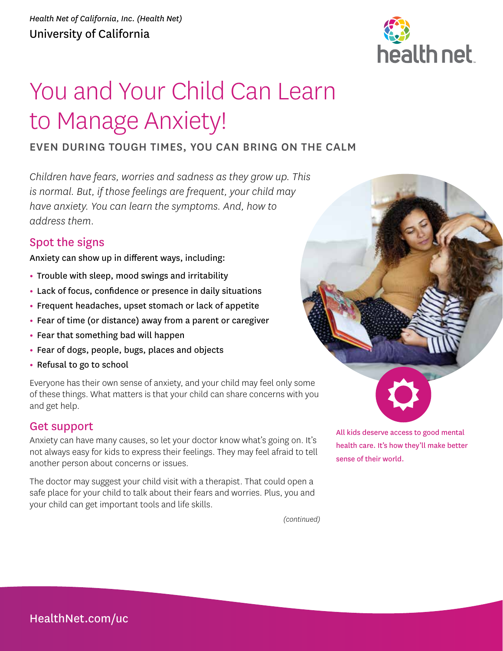

# You and Your Child Can Learn to Manage Anxiety!

## EVEN DURING TOUGH TIMES, YOU CAN BRING ON THE CALM

*Children have fears, worries and sadness as they grow up. This is normal. But, if those feelings are frequent, your child may have anxiety. You can learn the symptoms. And, how to address them.* 

## Spot the signs

Anxiety can show up in different ways, including:

- **•** Trouble with sleep, mood swings and irritability
- **•** Lack of focus, confidence or presence in daily situations
- **•** Frequent headaches, upset stomach or lack of appetite
- **•** Fear of time (or distance) away from a parent or caregiver
- **•** Fear that something bad will happen
- **•** Fear of dogs, people, bugs, places and objects
- **•** Refusal to go to school

Everyone has their own sense of anxiety, and your child may feel only some of these things. What matters is that your child can share concerns with you and get help.

### Get support

Anxiety can have many causes, so let your doctor know what's going on. It's not always easy for kids to express their feelings. They may feel afraid to tell another person about concerns or issues.

The doctor may suggest your child visit with a therapist. That could open a safe place for your child to talk about their fears and worries. Plus, you and your child can get important tools and life skills.

*(continued)*